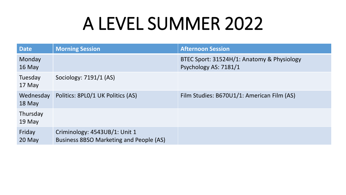| <b>Date</b>         | <b>Morning Session</b>                                                   | <b>Afternoon Session</b>                                            |
|---------------------|--------------------------------------------------------------------------|---------------------------------------------------------------------|
| Monday<br>16 May    |                                                                          | BTEC Sport: 31524H/1: Anatomy & Physiology<br>Psychology AS: 7181/1 |
| Tuesday<br>17 May   | Sociology: 7191/1 (AS)                                                   |                                                                     |
| Wednesday<br>18 May | Politics: 8PLO/1 UK Politics (AS)                                        | Film Studies: B670U1/1: American Film (AS)                          |
| Thursday<br>19 May  |                                                                          |                                                                     |
| Friday<br>20 May    | Criminology: 4543UB/1: Unit 1<br>Business 8BSO Marketing and People (AS) |                                                                     |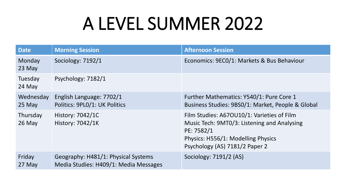| <b>Date</b>          | <b>Morning Session</b>                                                       | <b>Afternoon Session</b>                                                                                                                                                        |
|----------------------|------------------------------------------------------------------------------|---------------------------------------------------------------------------------------------------------------------------------------------------------------------------------|
| Monday<br>23 May     | Sociology: 7192/1                                                            | Economics: 9ECO/1: Markets & Bus Behaviour                                                                                                                                      |
| Tuesday<br>24 May    | Psychology: 7182/1                                                           |                                                                                                                                                                                 |
| Wednesday<br>25 May  | English Language: 7702/1<br>Politics: 9PL0/1: UK Politics                    | Further Mathematics: Y540/1: Pure Core 1<br>Business Studies: 9BS0/1: Market, People & Global                                                                                   |
| Thursday<br>$26$ May | <b>History: 7042/1C</b><br><b>History: 7042/1K</b>                           | Film Studies: A67OU10/1: Varieties of Film<br>Music Tech: 9MT0/3: Listening and Analysing<br>PE: 7582/1<br>Physics: H556/1: Modelling Physics<br>Psychology (AS) 7181/2 Paper 2 |
| Friday<br>27 May     | Geography: H481/1: Physical Systems<br>Media Studies: H409/1: Media Messages | Sociology: 7191/2 (AS)                                                                                                                                                          |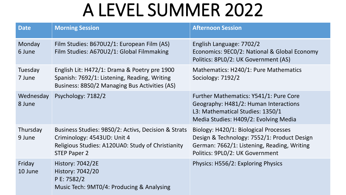| <b>Date</b>         | <b>Morning Session</b>                                                                                                                                         | <b>Afternoon Session</b>                                                                                                                                               |
|---------------------|----------------------------------------------------------------------------------------------------------------------------------------------------------------|------------------------------------------------------------------------------------------------------------------------------------------------------------------------|
| Monday<br>6 June    | Film Studies: B670U2/1: European Film (AS)<br>Film Studies: A670U2/1: Global Filmmaking                                                                        | English Language: 7702/2<br>Economics: 9EC0/2: National & Global Economy<br>Politics: 8PL0/2: UK Government (AS)                                                       |
| Tuesday<br>7 June   | English Lit: H472/1: Drama & Poetry pre 1900<br>Spanish: 7692/1: Listening, Reading, Writing<br>Business: 8BS0/2 Managing Bus Activities (AS)                  | Mathematics: H240/1: Pure Mathematics<br>Sociology: 7192/2                                                                                                             |
| Wednesday<br>8 June | Psychology: 7182/2                                                                                                                                             | Further Mathematics: Y541/1: Pure Core<br>Geography: H481/2: Human Interactions<br>L3: Mathematical Studies: 1350/1<br>Media Studies: H409/2: Evolving Media           |
| Thursday<br>9 June  | Business Studies: 9BS0/2: Activs, Decision & Strats<br>Criminology: 4543UD: Unit 4<br>Religious Studies: A120UA0: Study of Christianity<br><b>STEP Paper 2</b> | Biology: H420/1: Biological Processes<br>Design & Technology: 7552/1: Product Design<br>German: 7662/1: Listening, Reading, Writing<br>Politics: 9PL0/2: UK Government |
| Friday<br>10 June   | <b>History: 7042/2E</b><br>History: 7042/20<br>P E: 7582/2<br>Music Tech: 9MT0/4: Producing & Analysing                                                        | Physics: H556/2: Exploring Physics                                                                                                                                     |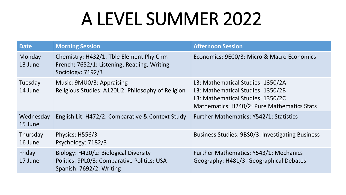| <b>Date</b>          | <b>Morning Session</b>                                                                                           | <b>Afternoon Session</b>                                                                                                                                   |
|----------------------|------------------------------------------------------------------------------------------------------------------|------------------------------------------------------------------------------------------------------------------------------------------------------------|
| Monday<br>13 June    | Chemistry: H432/1: Tble Element Phy Chm<br>French: 7652/1: Listening, Reading, Writing<br>Sociology: 7192/3      | Economics: 9EC0/3: Micro & Macro Economics                                                                                                                 |
| Tuesday<br>14 June   | Music: 9MU0/3: Appraising<br>Religious Studies: A120U2: Philosophy of Religion                                   | L3: Mathematical Studies: 1350/2A<br>L3: Mathematical Studies: 1350/2B<br>L3: Mathematical Studies: 1350/2C<br>Mathematics: H240/2: Pure Mathematics Stats |
| Wednesday<br>15 June | English Lit: H472/2: Comparative & Context Study                                                                 | Further Mathematics: Y542/1: Statistics                                                                                                                    |
| Thursday<br>16 June  | Physics: H556/3<br>Psychology: 7182/3                                                                            | <b>Business Studies: 9BS0/3: Investigating Business</b>                                                                                                    |
| Friday<br>17 June    | Biology: H420/2: Biological Diversity<br>Politics: 9PL0/3: Comparative Politics: USA<br>Spanish: 7692/2: Writing | Further Mathematics: Y543/1: Mechanics<br>Geography: H481/3: Geographical Debates                                                                          |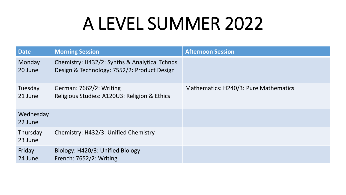| <b>Date</b>          | <b>Morning Session</b>                                                                       | <b>Afternoon Session</b>              |
|----------------------|----------------------------------------------------------------------------------------------|---------------------------------------|
| Monday<br>20 June    | Chemistry: H432/2: Synths & Analytical Tchngs<br>Design & Technology: 7552/2: Product Design |                                       |
| Tuesday<br>21 June   | German: 7662/2: Writing<br>Religious Studies: A120U3: Religion & Ethics                      | Mathematics: H240/3: Pure Mathematics |
| Wednesday<br>22 June |                                                                                              |                                       |
| Thursday<br>23 June  | Chemistry: H432/3: Unified Chemistry                                                         |                                       |
| Friday<br>24 June    | Biology: H420/3: Unified Biology<br>French: 7652/2: Writing                                  |                                       |